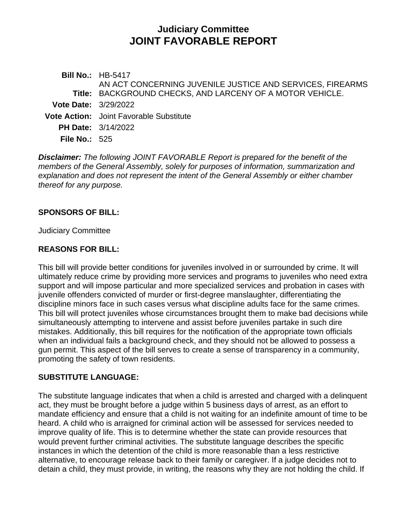# **Judiciary Committee JOINT FAVORABLE REPORT**

**Bill No.:** HB-5417 **Title:** BACKGROUND CHECKS, AND LARCENY OF A MOTOR VEHICLE. AN ACT CONCERNING JUVENILE JUSTICE AND SERVICES, FIREARMS **Vote Date:** 3/29/2022 **Vote Action:** Joint Favorable Substitute **PH Date:** 3/14/2022 **File No.:** 525

*Disclaimer: The following JOINT FAVORABLE Report is prepared for the benefit of the members of the General Assembly, solely for purposes of information, summarization and explanation and does not represent the intent of the General Assembly or either chamber thereof for any purpose.*

### **SPONSORS OF BILL:**

Judiciary Committee

### **REASONS FOR BILL:**

This bill will provide better conditions for juveniles involved in or surrounded by crime. It will ultimately reduce crime by providing more services and programs to juveniles who need extra support and will impose particular and more specialized services and probation in cases with juvenile offenders convicted of murder or first-degree manslaughter, differentiating the discipline minors face in such cases versus what discipline adults face for the same crimes. This bill will protect juveniles whose circumstances brought them to make bad decisions while simultaneously attempting to intervene and assist before juveniles partake in such dire mistakes. Additionally, this bill requires for the notification of the appropriate town officials when an individual fails a background check, and they should not be allowed to possess a gun permit. This aspect of the bill serves to create a sense of transparency in a community, promoting the safety of town residents.

### **SUBSTITUTE LANGUAGE:**

The substitute language indicates that when a child is arrested and charged with a delinquent act, they must be brought before a judge within 5 business days of arrest, as an effort to mandate efficiency and ensure that a child is not waiting for an indefinite amount of time to be heard. A child who is arraigned for criminal action will be assessed for services needed to improve quality of life. This is to determine whether the state can provide resources that would prevent further criminal activities. The substitute language describes the specific instances in which the detention of the child is more reasonable than a less restrictive alternative, to encourage release back to their family or caregiver. If a judge decides not to detain a child, they must provide, in writing, the reasons why they are not holding the child. If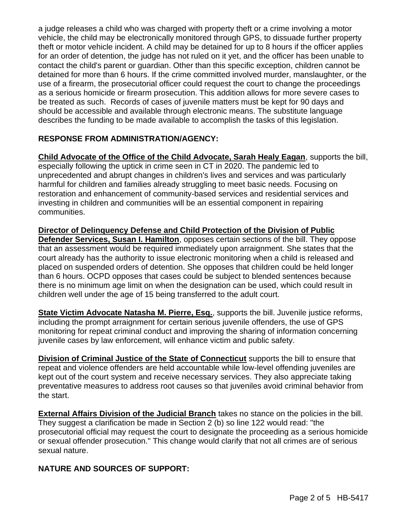a judge releases a child who was charged with property theft or a crime involving a motor vehicle, the child may be electronically monitored through GPS, to dissuade further property theft or motor vehicle incident. A child may be detained for up to 8 hours if the officer applies for an order of detention, the judge has not ruled on it yet, and the officer has been unable to contact the child's parent or guardian. Other than this specific exception, children cannot be detained for more than 6 hours. If the crime committed involved murder, manslaughter, or the use of a firearm, the prosecutorial officer could request the court to change the proceedings as a serious homicide or firearm prosecution. This addition allows for more severe cases to be treated as such. Records of cases of juvenile matters must be kept for 90 days and should be accessible and available through electronic means. The substitute language describes the funding to be made available to accomplish the tasks of this legislation.

# **RESPONSE FROM ADMINISTRATION/AGENCY:**

**Child Advocate of the Office of the Child Advocate, Sarah Healy Eagan**, supports the bill, especially following the uptick in crime seen in CT in 2020. The pandemic led to unprecedented and abrupt changes in children's lives and services and was particularly harmful for children and families already struggling to meet basic needs. Focusing on restoration and enhancement of community-based services and residential services and investing in children and communities will be an essential component in repairing communities.

**Director of Delinquency Defense and Child Protection of the Division of Public Defender Services, Susan I. Hamilton**, opposes certain sections of the bill. They oppose that an assessment would be required immediately upon arraignment. She states that the court already has the authority to issue electronic monitoring when a child is released and placed on suspended orders of detention. She opposes that children could be held longer than 6 hours. OCPD opposes that cases could be subject to blended sentences because there is no minimum age limit on when the designation can be used, which could result in children well under the age of 15 being transferred to the adult court.

**State Victim Advocate Natasha M. Pierre, Esq.**, supports the bill. Juvenile justice reforms, including the prompt arraignment for certain serious juvenile offenders, the use of GPS monitoring for repeat criminal conduct and improving the sharing of information concerning juvenile cases by law enforcement, will enhance victim and public safety.

**Division of Criminal Justice of the State of Connecticut** supports the bill to ensure that repeat and violence offenders are held accountable while low-level offending juveniles are kept out of the court system and receive necessary services. They also appreciate taking preventative measures to address root causes so that juveniles avoid criminal behavior from the start.

**External Affairs Division of the Judicial Branch** takes no stance on the policies in the bill. They suggest a clarification be made in Section 2 (b) so line 122 would read: "the prosecutorial official may request the court to designate the proceeding as a serious homicide or sexual offender prosecution." This change would clarify that not all crimes are of serious sexual nature.

## **NATURE AND SOURCES OF SUPPORT:**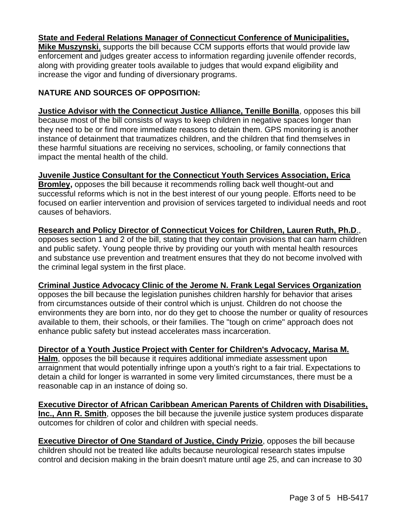### **State and Federal Relations Manager of Connecticut Conference of Municipalities,**

**Mike Muszynski**, supports the bill because CCM supports efforts that would provide law enforcement and judges greater access to information regarding juvenile offender records, along with providing greater tools available to judges that would expand eligibility and increase the vigor and funding of diversionary programs.

### **NATURE AND SOURCES OF OPPOSITION:**

**Justice Advisor with the Connecticut Justice Alliance, Tenille Bonilla**, opposes this bill because most of the bill consists of ways to keep children in negative spaces longer than they need to be or find more immediate reasons to detain them. GPS monitoring is another instance of detainment that traumatizes children, and the children that find themselves in these harmful situations are receiving no services, schooling, or family connections that impact the mental health of the child.

**Juvenile Justice Consultant for the Connecticut Youth Services Association, Erica Bromley,** opposes the bill because it recommends rolling back well thought-out and successful reforms which is not in the best interest of our young people. Efforts need to be focused on earlier intervention and provision of services targeted to individual needs and root causes of behaviors.

**Research and Policy Director of Connecticut Voices for Children, Lauren Ruth, Ph.D**., opposes section 1 and 2 of the bill, stating that they contain provisions that can harm children and public safety. Young people thrive by providing our youth with mental health resources and substance use prevention and treatment ensures that they do not become involved with the criminal legal system in the first place.

**Criminal Justice Advocacy Clinic of the Jerome N. Frank Legal Services Organization** opposes the bill because the legislation punishes children harshly for behavior that arises from circumstances outside of their control which is unjust. Children do not choose the environments they are born into, nor do they get to choose the number or quality of resources available to them, their schools, or their families. The "tough on crime" approach does not enhance public safety but instead accelerates mass incarceration.

**Director of a Youth Justice Project with Center for Children's Advocacy, Marisa M. Halm**, opposes the bill because it requires additional immediate assessment upon arraignment that would potentially infringe upon a youth's right to a fair trial. Expectations to detain a child for longer is warranted in some very limited circumstances, there must be a reasonable cap in an instance of doing so.

**Executive Director of African Caribbean American Parents of Children with Disabilities, Inc., Ann R. Smith**, opposes the bill because the juvenile justice system produces disparate outcomes for children of color and children with special needs.

**Executive Director of One Standard of Justice, Cindy Prizio, opposes the bill because** children should not be treated like adults because neurological research states impulse control and decision making in the brain doesn't mature until age 25, and can increase to 30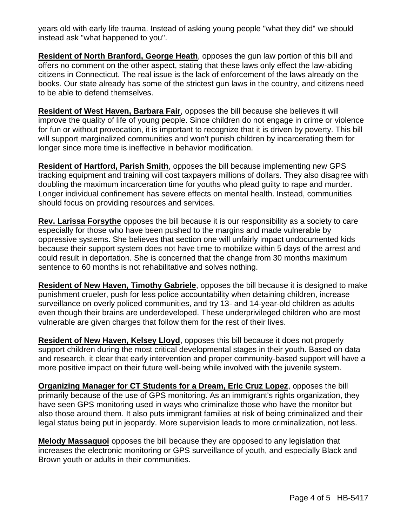years old with early life trauma. Instead of asking young people "what they did" we should instead ask "what happened to you".

**Resident of North Branford, George Heath**, opposes the gun law portion of this bill and offers no comment on the other aspect, stating that these laws only effect the law-abiding citizens in Connecticut. The real issue is the lack of enforcement of the laws already on the books. Our state already has some of the strictest gun laws in the country, and citizens need to be able to defend themselves.

**Resident of West Haven, Barbara Fair**, opposes the bill because she believes it will improve the quality of life of young people. Since children do not engage in crime or violence for fun or without provocation, it is important to recognize that it is driven by poverty. This bill will support marginalized communities and won't punish children by incarcerating them for longer since more time is ineffective in behavior modification.

**Resident of Hartford, Parish Smith**, opposes the bill because implementing new GPS tracking equipment and training will cost taxpayers millions of dollars. They also disagree with doubling the maximum incarceration time for youths who plead guilty to rape and murder. Longer individual confinement has severe effects on mental health. Instead, communities should focus on providing resources and services.

**Rev. Larissa Forsythe** opposes the bill because it is our responsibility as a society to care especially for those who have been pushed to the margins and made vulnerable by oppressive systems. She believes that section one will unfairly impact undocumented kids because their support system does not have time to mobilize within 5 days of the arrest and could result in deportation. She is concerned that the change from 30 months maximum sentence to 60 months is not rehabilitative and solves nothing.

**Resident of New Haven, Timothy Gabriele**, opposes the bill because it is designed to make punishment crueler, push for less police accountability when detaining children, increase surveillance on overly policed communities, and try 13- and 14-year-old children as adults even though their brains are underdeveloped. These underprivileged children who are most vulnerable are given charges that follow them for the rest of their lives.

**Resident of New Haven, Kelsey Lloyd**, opposes this bill because it does not properly support children during the most critical developmental stages in their youth. Based on data and research, it clear that early intervention and proper community-based support will have a more positive impact on their future well-being while involved with the juvenile system.

**Organizing Manager for CT Students for a Dream, Eric Cruz Lopez**, opposes the bill primarily because of the use of GPS monitoring. As an immigrant's rights organization, they have seen GPS monitoring used in ways who criminalize those who have the monitor but also those around them. It also puts immigrant families at risk of being criminalized and their legal status being put in jeopardy. More supervision leads to more criminalization, not less.

**Melody Massaquoi** opposes the bill because they are opposed to any legislation that increases the electronic monitoring or GPS surveillance of youth, and especially Black and Brown youth or adults in their communities.